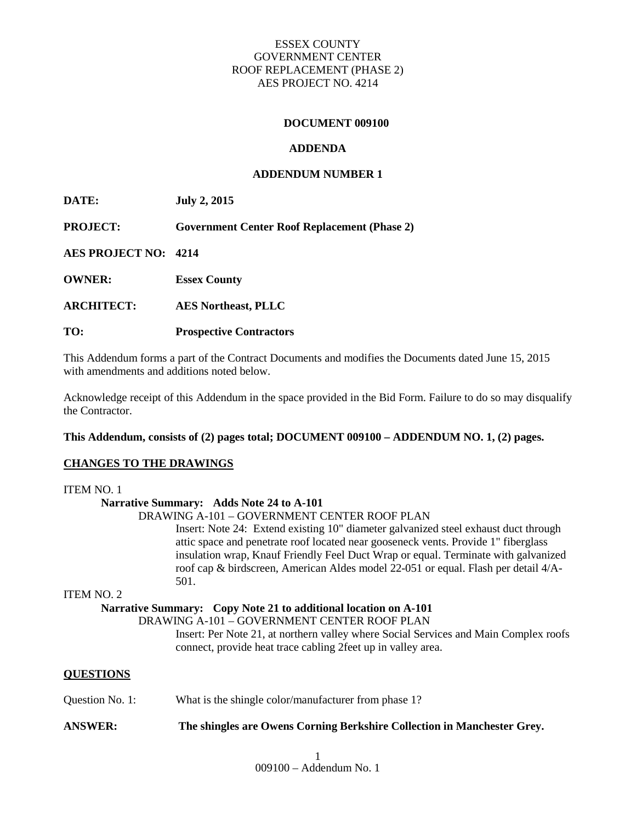## ESSEX COUNTY GOVERNMENT CENTER ROOF REPLACEMENT (PHASE 2) AES PROJECT NO. 4214

### **DOCUMENT 009100**

### **ADDENDA**

## **ADDENDUM NUMBER 1**

**DATE: July 2, 2015**

**PROJECT: Government Center Roof Replacement (Phase 2)**

**AES PROJECT NO: 4214**

**OWNER: Essex County**

**ARCHITECT: AES Northeast, PLLC**

**TO: Prospective Contractors**

This Addendum forms a part of the Contract Documents and modifies the Documents dated June 15, 2015 with amendments and additions noted below.

Acknowledge receipt of this Addendum in the space provided in the Bid Form. Failure to do so may disqualify the Contractor.

# **This Addendum, consists of (2) pages total; DOCUMENT 009100 – ADDENDUM NO. 1, (2) pages.**

### **CHANGES TO THE DRAWINGS**

# ITEM NO. 1 **Narrative Summary: Adds Note 24 to A-101** DRAWING A-101 – GOVERNMENT CENTER ROOF PLAN Insert: Note 24: Extend existing 10" diameter galvanized steel exhaust duct through attic space and penetrate roof located near gooseneck vents. Provide 1" fiberglass insulation wrap, Knauf Friendly Feel Duct Wrap or equal. Terminate with galvanized roof cap & birdscreen, American Aldes model 22-051 or equal. Flash per detail 4/A-501. ITEM NO. 2 **Narrative Summary: Copy Note 21 to additional location on A-101** DRAWING A-101 – GOVERNMENT CENTER ROOF PLAN Insert: Per Note 21, at northern valley where Social Services and Main Complex roofs connect, provide heat trace cabling 2feet up in valley area. **QUESTIONS** Question No. 1: What is the shingle color/manufacturer from phase 1?

**ANSWER: The shingles are Owens Corning Berkshire Collection in Manchester Grey.**

009100 – Addendum No. 1 1